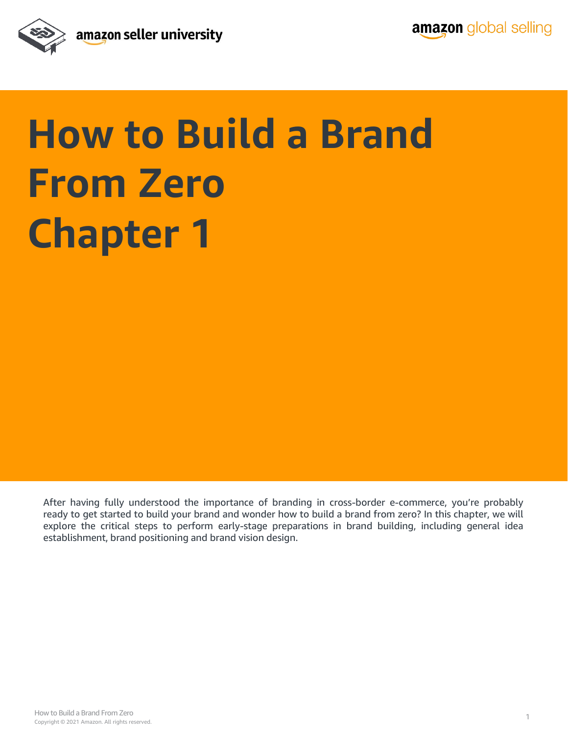

## **How to Build a Brand From Zero Chapter 1**

After having fully understood the importance of branding in cross-border e-commerce, you're probably ready to get started to build your brand and wonder how to build a brand from zero? In this chapter, we will explore the critical steps to perform early-stage preparations in brand building, including general idea establishment, brand positioning and brand vision design.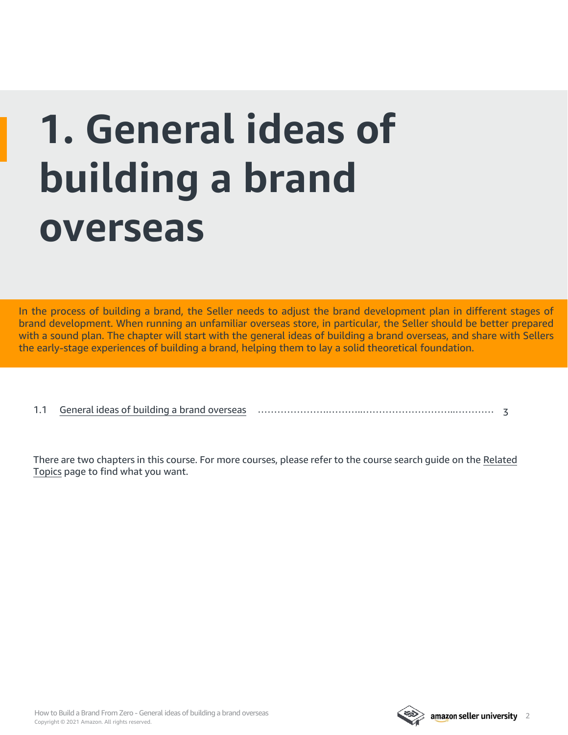# **1. General ideas of building a brand overseas**

In the process of building a brand, the Seller needs to adjust the brand development plan in different stages of brand development. When running an unfamiliar overseas store, in particular, the Seller should be better prepared with a sound plan. The chapter will start with the general ideas of building a brand overseas, and share with Sellers the early-stage experiences of building a brand, helping them to lay a solid theoretical foundation.

|  | 1.1 General ideas of building a brand overseas |  |  |
|--|------------------------------------------------|--|--|
|--|------------------------------------------------|--|--|

[There are two chapters in this course. For more courses, please refer to the course search guide on the Related](#page-4-0)  Topics page to find what you want.



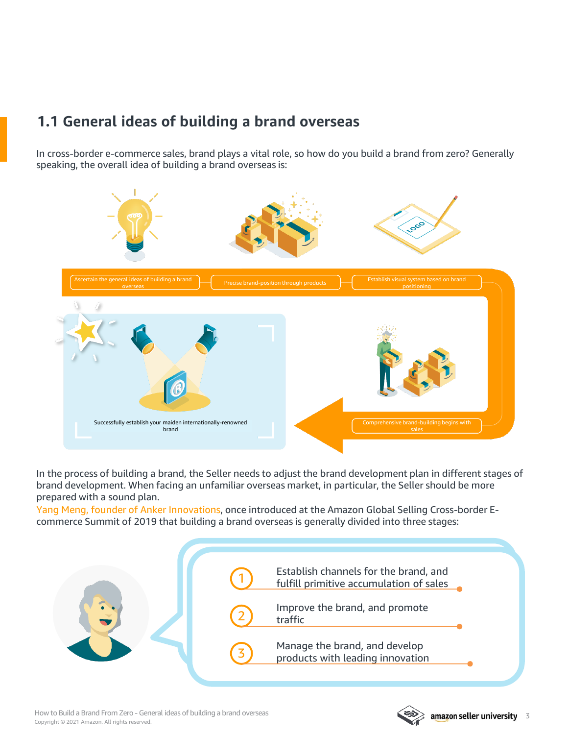### <span id="page-2-0"></span>**1.1 General ideas of building a brand overseas**

In cross-border e-commerce sales, brand plays a vital role, so how do you build a brand from zero? Generally speaking, the overall idea of building a brand overseas is:



In the process of building a brand, the Seller needs to adjust the brand development plan in different stages of brand development. When facing an unfamiliar overseas market, in particular, the Seller should be more prepared with a sound plan.

Yang Meng, founder of Anker Innovations, once introduced at the Amazon Global Selling Cross-border Ecommerce Summit of 2019 that building a brand overseas is generally divided into three stages:



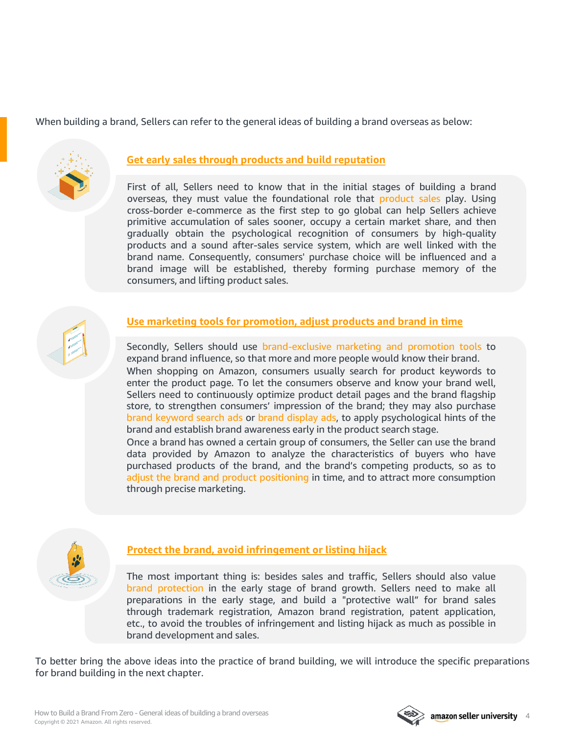When building a brand, Sellers can refer to the general ideas of building a brand overseas as below:



### **Get early sales through products and build reputation**

First of all, Sellers need to know that in the initial stages of building a brand overseas, they must value the foundational role that product sales play. Using cross-border e-commerce as the first step to go global can help Sellers achieve primitive accumulation of sales sooner, occupy a certain market share, and then gradually obtain the psychological recognition of consumers by high-quality products and a sound after-sales service system, which are well linked with the brand name. Consequently, consumers' purchase choice will be influenced and a brand image will be established, thereby forming purchase memory of the consumers, and lifting product sales.

### **Use marketing tools for promotion, adjust products and brand in time**

Secondly, Sellers should use brand-exclusive marketing and promotion tools to expand brand influence, so that more and more people would know their brand. When shopping on Amazon, consumers usually search for product keywords to enter the product page. To let the consumers observe and know your brand well, Sellers need to continuously optimize product detail pages and the brand flagship store, to strengthen consumers' impression of the brand; they may also purchase brand keyword search ads or brand display ads, to apply psychological hints of the brand and establish brand awareness early in the product search stage.

Once a brand has owned a certain group of consumers, the Seller can use the brand data provided by Amazon to analyze the characteristics of buyers who have purchased products of the brand, and the brand's competing products, so as to adjust the brand and product positioning in time, and to attract more consumption through precise marketing.



### **Protect the brand, avoid infringement or listing hijack**

The most important thing is: besides sales and traffic, Sellers should also value brand protection in the early stage of brand growth. Sellers need to make all preparations in the early stage, and build a "protective wall" for brand sales through trademark registration, Amazon brand registration, patent application, etc., to avoid the troubles of infringement and listing hijack as much as possible in brand development and sales.

To better bring the above ideas into the practice of brand building, we will introduce the specific preparations for brand building in the next chapter.

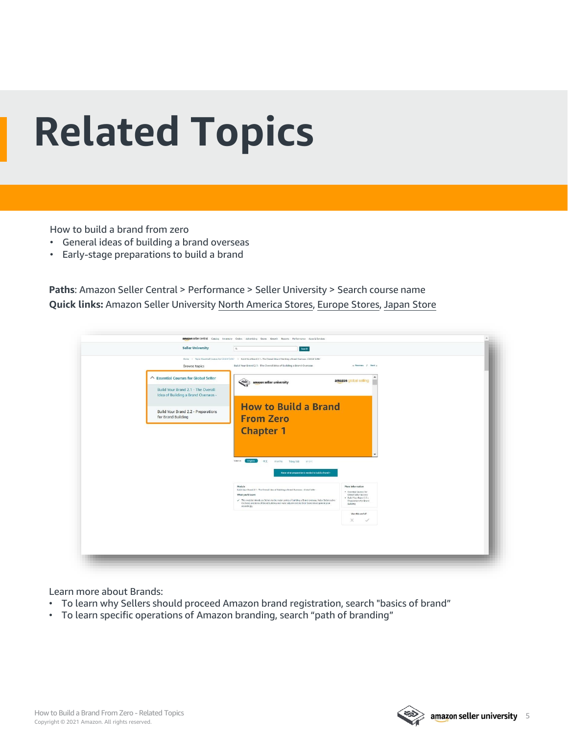## <span id="page-4-0"></span>**Related Topics**

How to build a brand from zero

- General ideas of building a brand overseas
- Early-stage preparations to build a brand

**Paths**: Amazon Seller Central > Performance > Seller University > Search course name **Quick links:** Amazon Seller University [North America Stores](https://sellercentral.amazon.com/learn/ref=xx_su_dnav_xx?ref_=xx_swlang_head_xx&mons_sel_locale=en_US&languageSwitched=1), [Europe Stores](https://sellercentral.amazon.co.uk/learn/ref=xx_su_dnav_xx?ref_=xx_swlang_head_xx&mons_sel_locale=en_DE&languageSwitched=1), [Japan Store](https://sellercentral-japan.amazon.com/learn/ref=xx_su_dnav_xx?ref_=xx_swlang_head_xx&mons_sel_locale=en_JP&languageSwitched=1)

|                                                           | Q<br>Search                                                                                                                                                                                                                                                                                                                                                                     |                                                    |
|-----------------------------------------------------------|---------------------------------------------------------------------------------------------------------------------------------------------------------------------------------------------------------------------------------------------------------------------------------------------------------------------------------------------------------------------------------|----------------------------------------------------|
| Browse topics                                             | Home > Topic Essential Courses for Global Solier > Build Your Brand 2.1 - The Overall Idea of Building a Brand Overseas - Global Seller<br>Build Your Brand 2.1 - The Overall Idea of Building a Brand Overseas                                                                                                                                                                 | c Previous / Next a                                |
|                                                           |                                                                                                                                                                                                                                                                                                                                                                                 |                                                    |
| △ Essential Courses for Global Seller                     | $\begin{picture}(20,20) \put(0,0){\line(1,0){10}} \put(15,0){\line(1,0){10}} \put(15,0){\line(1,0){10}} \put(15,0){\line(1,0){10}} \put(15,0){\line(1,0){10}} \put(15,0){\line(1,0){10}} \put(15,0){\line(1,0){10}} \put(15,0){\line(1,0){10}} \put(15,0){\line(1,0){10}} \put(15,0){\line(1,0){10}} \put(15,0){\line(1,0){10}} \put(15,0){\line(1$<br>amazon seller university | amazon global selling                              |
| Build Your Brand 2.1 - The Overall                        |                                                                                                                                                                                                                                                                                                                                                                                 |                                                    |
| Idea of Building a Brand Overseas -                       |                                                                                                                                                                                                                                                                                                                                                                                 |                                                    |
|                                                           | <b>How to Build a Brand</b>                                                                                                                                                                                                                                                                                                                                                     |                                                    |
| Build Your Brand 2.2 - Preparations<br>for Brand Building |                                                                                                                                                                                                                                                                                                                                                                                 |                                                    |
|                                                           | <b>From Zero</b>                                                                                                                                                                                                                                                                                                                                                                |                                                    |
|                                                           | <b>Chapter 1</b>                                                                                                                                                                                                                                                                                                                                                                |                                                    |
|                                                           |                                                                                                                                                                                                                                                                                                                                                                                 |                                                    |
|                                                           |                                                                                                                                                                                                                                                                                                                                                                                 |                                                    |
|                                                           |                                                                                                                                                                                                                                                                                                                                                                                 |                                                    |
|                                                           | View at:<br>English<br>中文<br>anima<br>Tiếng Việt : 아낙이                                                                                                                                                                                                                                                                                                                          |                                                    |
|                                                           | Know what preparation is needed to build a Brand >                                                                                                                                                                                                                                                                                                                              |                                                    |
|                                                           | Module                                                                                                                                                                                                                                                                                                                                                                          |                                                    |
|                                                           | Build Your Brand 2.1 - The Overall Idea of Building a Brand Overseas - Global Seller                                                                                                                                                                                                                                                                                            | More Information<br>· Essential Courses for        |
|                                                           | What you'll learn:                                                                                                                                                                                                                                                                                                                                                              | Global Seller Success                              |
|                                                           | / This module introduces Sellers to the major points of building a Brand overseas, helps Sellers solve                                                                                                                                                                                                                                                                          | . Build Your Brand 2.2 -<br>Preparations for Brand |
|                                                           | the basic problems of Brand building and make adjustments to their Brand development plan<br>accordingly.                                                                                                                                                                                                                                                                       | Building                                           |
|                                                           |                                                                                                                                                                                                                                                                                                                                                                                 | Was this useful?                                   |
|                                                           |                                                                                                                                                                                                                                                                                                                                                                                 | ×                                                  |
|                                                           |                                                                                                                                                                                                                                                                                                                                                                                 |                                                    |
|                                                           |                                                                                                                                                                                                                                                                                                                                                                                 |                                                    |

Learn more about Brands:

- To learn why Sellers should proceed Amazon brand registration, search "basics of brand"
- To learn specific operations of Amazon branding, search "path of branding"